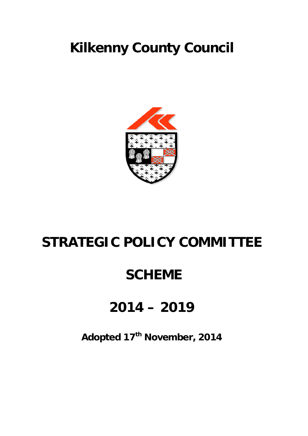# **Kilkenny County Council**



## **STRATEGIC POLICY COMMITTEE**

## **SCHEME**

## **2014 – 2019**

**Adopted 17th November, 2014**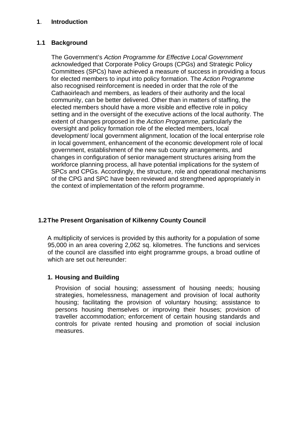## **1**. **Introduction**

## **1.1 Background**

The Government's *Action Programme for Effective Local Government a*cknowledged that Corporate Policy Groups (CPGs) and Strategic Policy Committees (SPCs) have achieved a measure of success in providing a focus for elected members to input into policy formation. The *Action Programme*  also recognised reinforcement is needed in order that the role of the Cathaoirleach and members, as leaders of their authority and the local community, can be better delivered. Other than in matters of staffing, the elected members should have a more visible and effective role in policy setting and in the oversight of the executive actions of the local authority. The extent of changes proposed in the *Action Programme*, particularly the oversight and policy formation role of the elected members, local development/ local government alignment, location of the local enterprise role in local government, enhancement of the economic development role of local government, establishment of the new sub county arrangements, and changes in configuration of senior management structures arising from the workforce planning process, all have potential implications for the system of SPCs and CPGs. Accordingly, the structure, role and operational mechanisms of the CPG and SPC have been reviewed and strengthened appropriately in the context of implementation of the reform programme.

## **1.2The Present Organisation of Kilkenny County Council**

A multiplicity of services is provided by this authority for a population of some 95,000 in an area covering 2,062 sq. kilometres. The functions and services of the council are classified into eight programme groups, a broad outline of which are set out hereunder:

## **1. Housing and Building**

Provision of social housing; assessment of housing needs; housing strategies, homelessness, management and provision of local authority housing; facilitating the provision of voluntary housing; assistance to persons housing themselves or improving their houses; provision of traveller accommodation; enforcement of certain housing standards and controls for private rented housing and promotion of social inclusion measures.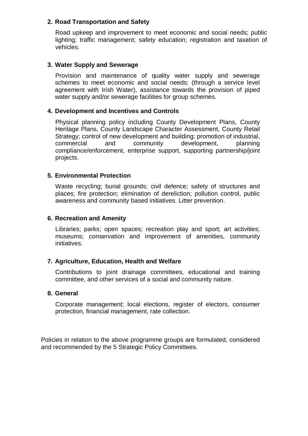## **2. Road Transportation and Safety**

Road upkeep and improvement to meet economic and social needs; public lighting; traffic management; safety education; registration and taxation of vehicles.

## **3. Water Supply and Sewerage**

Provision and maintenance of quality water supply and sewerage schemes to meet economic and social needs; (through a service level agreement with Irish Water), assistance towards the provision of piped water supply and/or sewerage facilities for group schemes.

## **4. Development and Incentives and Controls**

Physical planning policy including County Development Plans, County Heritage Plans, County Landscape Character Assessment, County Retail Strategy; control of new development and building; promotion of industrial, commercial and community development, planning compliance/enforcement, enterprise support, supporting partnership/joint projects.

## **5. Environmental Protection**

Waste recycling; burial grounds; civil defence; safety of structures and places; fire protection; elimination of dereliction; pollution control, public awareness and community based initiatives. Litter prevention.

## **6. Recreation and Amenity**

Libraries; parks; open spaces; recreation play and sport; art activities; museums; conservation and improvement of amenities, community initiatives.

## **7. Agriculture, Education, Health and Welfare**

Contributions to joint drainage committees, educational and training committee, and other services of a social and community nature.

## **8. General**

Corporate management; local elections, register of electors, consumer protection, financial management, rate collection.

Policies in relation to the above programme groups are formulated, considered and recommended by the 5 Strategic Policy Committees.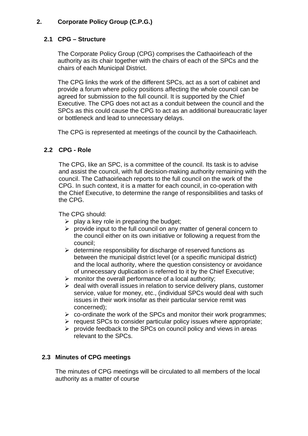## **2. Corporate Policy Group (C.P.G.)**

## **2.1 CPG – Structure**

The Corporate Policy Group (CPG) comprises the Cathaoirleach of the authority as its chair together with the chairs of each of the SPCs and the chairs of each Municipal District.

The CPG links the work of the different SPCs, act as a sort of cabinet and provide a forum where policy positions affecting the whole council can be agreed for submission to the full council. It is supported by the Chief Executive. The CPG does not act as a conduit between the council and the SPCs as this could cause the CPG to act as an additional bureaucratic layer or bottleneck and lead to unnecessary delays.

The CPG is represented at meetings of the council by the Cathaoirleach.

## **2.2 CPG - Role**

The CPG, like an SPC, is a committee of the council. Its task is to advise and assist the council, with full decision-making authority remaining with the council. The Cathaoirleach reports to the full council on the work of the CPG. In such context, it is a matter for each council, in co-operation with the Chief Executive, to determine the range of responsibilities and tasks of the CPG.

The CPG should:

- $\triangleright$  play a key role in preparing the budget;
- $\triangleright$  provide input to the full council on any matter of general concern to the council either on its own initiative or following a request from the council;
- $\triangleright$  determine responsibility for discharge of reserved functions as between the municipal district level (or a specific municipal district) and the local authority, where the question consistency or avoidance of unnecessary duplication is referred to it by the Chief Executive;
- $\triangleright$  monitor the overall performance of a local authority;
- $\triangleright$  deal with overall issues in relation to service delivery plans, customer service, value for money, etc., (individual SPCs would deal with such issues in their work insofar as their particular service remit was concerned);
- $\triangleright$  co-ordinate the work of the SPCs and monitor their work programmes;
- $\triangleright$  request SPCs to consider particular policy issues where appropriate;
- $\triangleright$  provide feedback to the SPCs on council policy and views in areas relevant to the SPCs.

## **2.3 Minutes of CPG meetings**

The minutes of CPG meetings will be circulated to all members of the local authority as a matter of course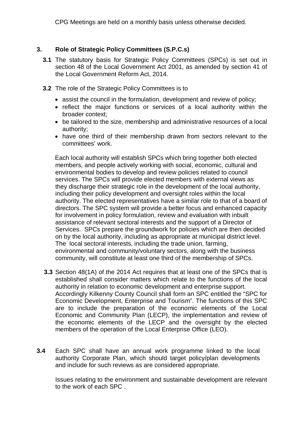CPG Meetings are held on a monthly basis unless otherwise decided.

## **3. Role of Strategic Policy Committees (S.P.C.s)**

- **3.1** The statutory basis for Strategic Policy Committees (SPCs) is set out in section 48 of the Local Government Act 2001, as amended by section 41 of the Local Government Reform Act, 2014.
- **3.2** The role of the Strategic Policy Committees is to
	- assist the council in the formulation, development and review of policy;
	- reflect the major functions or services of a local authority within the broader context;
	- be tailored to the size, membership and administrative resources of a local authority;
	- have one third of their membership drawn from sectors relevant to the committees' work.

Each local authority will establish SPCs which bring together both elected members, and people actively working with social, economic, cultural and environmental bodies to develop and review policies related to council services. The SPCs will provide elected members with external views as they discharge their strategic role in the development of the local authority, including their policy development and oversight roles within the local authority. The elected representatives have a similar role to that of a board of directors. The SPC system will provide a better focus and enhanced capacity for involvement in policy formulation, review and evaluation with inbuilt assistance of relevant sectoral interests and the support of a Director of Services. SPCs prepare the groundwork for policies which are then decided on by the local authority, including as appropriate at municipal district level. The local sectoral interests, including the trade union, farming, environmental and community/voluntary sectors, along with the business community, will constitute at least one third of the membership of SPCs.

- **3.3** Section 48(1A) of the 2014 Act requires that at least one of the SPCs that is established shall consider matters which relate to the functions of the local authority in relation to economic development and enterprise support. Accordingly Kilkenny County Council shall form an SPC entitled the "SPC for Economic Development, Enterprise and Tourism". The functions of this SPC are to include the preparation of the economic elements of the Local Economic and Community Plan (LECP), the implementation and review of the economic elements of the LECP and the oversight by the elected members of the operation of the Local Enterprise Office (LEO).
- **3.4** Each SPC shall have an annual work programme linked to the local authority Corporate Plan, which should target policy/plan developments and include for such reviews as are considered appropriate.

Issues relating to the environment and sustainable development are relevant to the work of each SPC .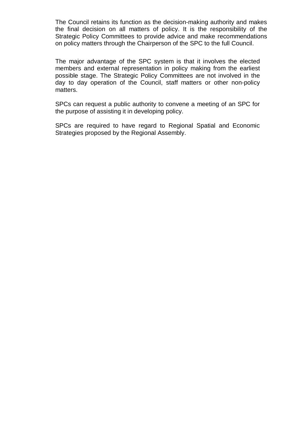The Council retains its function as the decision-making authority and makes the final decision on all matters of policy. It is the responsibility of the Strategic Policy Committees to provide advice and make recommendations on policy matters through the Chairperson of the SPC to the full Council.

The major advantage of the SPC system is that it involves the elected members and external representation in policy making from the earliest possible stage. The Strategic Policy Committees are not involved in the day to day operation of the Council, staff matters or other non-policy matters.

SPCs can request a public authority to convene a meeting of an SPC for the purpose of assisting it in developing policy.

SPCs are required to have regard to Regional Spatial and Economic Strategies proposed by the Regional Assembly.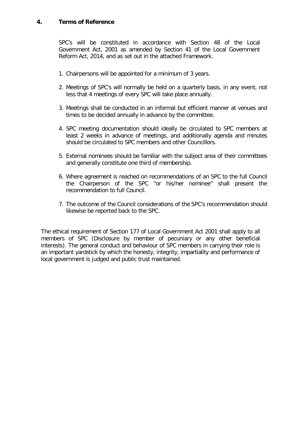#### **4. Terms of Reference**

SPC's will be constituted in accordance with Section 48 of the Local Government Act, 2001 as amended by Section 41 of the Local Government Reform Act, 2014, and as set out in the attached Framework.

- 1. Chairpersons will be appointed for a minimum of 3 years.
- 2. Meetings of SPC's will normally be held on a quarterly basis, in any event, not less that 4 meetings of every SPC will take place annually.
- 3. Meetings shall be conducted in an informal but efficient manner at venues and times to be decided annually in advance by the committee.
- 4. SPC meeting documentation should ideally be circulated to SPC members at least 2 weeks in advance of meetings, and additionally agenda and minutes should be circulated to SPC members and other Councillors.
- 5. External nominees should be familiar with the subject area of their committees and generally constitute one third of membership.
- 6. Where agreement is reached on recommendations of an SPC to the full Council the Chairperson of the SPC "or his/her nominee" shall present the recommendation to full Council.
- 7. The outcome of the Council considerations of the SPC's recommendation should likewise be reported back to the SPC.

The ethical requirement of Section 177 of Local Government Act 2001 shall apply to all members of SPC (Disclosure by member of pecuniary or any other beneficial interests). The general conduct and behaviour of SPC members in carrying their role is an important yardstick by which the honesty, integrity, impartiality and performance of local government is judged and public trust maintained.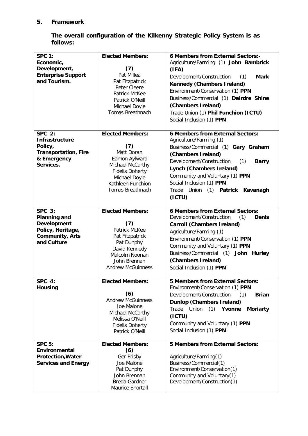## **5. Framework**

|          | The overall configuration of the Kilkenny Strategic Policy System is as |  |  |  |  |
|----------|-------------------------------------------------------------------------|--|--|--|--|
| follows: |                                                                         |  |  |  |  |

| <b>SPC 1:</b>               | <b>Elected Members:</b>           | 6 Members from External Sectors:-               |
|-----------------------------|-----------------------------------|-------------------------------------------------|
| Economic,                   |                                   | Agriculture/Farming (1) John Bambrick           |
| Development,                | (7)                               | (IFA)                                           |
| <b>Enterprise Support</b>   | Pat Millea                        | Development/Construction<br>(1)<br><b>Mark</b>  |
| and Tourism.                | Pat Fitzpatrick                   |                                                 |
|                             | Peter Cleere                      | <b>Kennedy (Chambers Ireland)</b>               |
|                             | Patrick McKee                     | Environment/Conservation (1) PPN                |
|                             | Patrick O'Neill                   | Business/Commercial (1) Deirdre Shine           |
|                             | Michael Doyle                     | (Chambers Ireland)                              |
|                             | Tomas Breathnach                  | Trade Union (1) Phil Funchion (ICTU)            |
|                             |                                   | Social Inclusion (1) PPN                        |
|                             |                                   |                                                 |
| <b>SPC 2:</b>               | <b>Elected Members:</b>           | <b>6 Members from External Sectors:</b>         |
| <b>Infrastructure</b>       |                                   | Agriculture/Farming (1)                         |
| Policy,                     | (7)                               | Business/Commercial (1) Gary Graham             |
| <b>Transportation, Fire</b> | Matt Doran                        | (Chambers Ireland)                              |
| & Emergency                 | Eamon Aylward                     | Development/Construction<br>(1)<br><b>Barry</b> |
| Services.                   | Michael McCarthy                  | Lynch (Chambers Ireland)                        |
|                             | <b>Fidelis Doherty</b>            |                                                 |
|                             | Michael Doyle                     | Community and Voluntary (1) PPN                 |
|                             | Kathleen Funchion                 | Social Inclusion (1) PPN                        |
|                             | <b>Tomas Breathnach</b>           | Trade Union (1) Patrick Kavanagh                |
|                             |                                   | (ICTU)                                          |
|                             |                                   |                                                 |
| <b>SPC 3:</b>               | <b>Elected Members:</b>           | 6 Members from External Sectors:                |
| <b>Planning and</b>         |                                   | Development/Construction<br>(1)<br>Denis        |
| Development                 | (7)                               | Carroll (Chambers Ireland)                      |
| Policy, Heritage,           | Patrick McKee                     | Agriculture/Farming (1)                         |
| <b>Community, Arts</b>      | Pat Fitzpatrick                   | Environment/Conservation (1) PPN                |
| and Culture                 | Pat Dunphy                        | Community and Voluntary (1) PPN                 |
|                             | David Kennedy                     | Business/Commercial (1) John Hurley             |
|                             | Malcolm Noonan<br>John Brennan    | (Chambers Ireland)                              |
|                             | <b>Andrew McGuinness</b>          |                                                 |
|                             |                                   | Social Inclusion (1) PPN                        |
| SPC 4:                      | <b>Elected Members:</b>           | <b>5 Members from External Sectors:</b>         |
| Housing                     |                                   | Environment/Conservation (1) PPN                |
|                             | (6)                               | (1)<br><b>Brian</b>                             |
|                             | <b>Andrew McGuinness</b>          | Development/Construction                        |
|                             | Joe Malone                        | <b>Dunlop (Chambers Ireland)</b>                |
|                             | Michael McCarthy                  | Trade Union<br>(1)<br>Yvonne<br><b>Moriarty</b> |
|                             | Melissa O'Neill                   | (ICTU)                                          |
|                             | <b>Fidelis Doherty</b>            | Community and Voluntary (1) PPN                 |
|                             | Patrick O'Neill                   | Social Inclusion (1) PPN                        |
|                             |                                   |                                                 |
| <b>SPC 5:</b>               | <b>Elected Members:</b>           | <b>5 Members from External Sectors:</b>         |
| Environmental               | (6)                               |                                                 |
| <b>Protection, Water</b>    | Ger Frisby                        | Agriculture/Farming(1)                          |
| <b>Services and Energy</b>  |                                   |                                                 |
|                             | Joe Malone                        | Business/Commercial(1)                          |
|                             | Pat Dunphy                        | Environment/Conservation(1)                     |
|                             | John Brennan                      | Community and Voluntary(1)                      |
|                             | Breda Gardner<br>Maurice Shortall | Development/Construction(1)                     |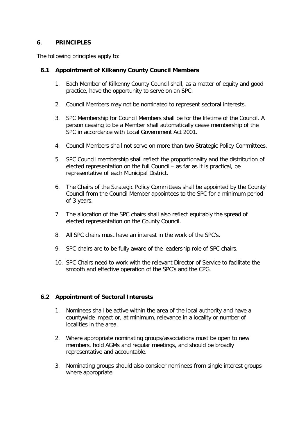#### **6**. **PRINCIPLES**

The following principles apply to:

#### **6.1 Appointment of Kilkenny County Council Members**

- 1. Each Member of Kilkenny County Council shall, as a matter of equity and good practice, have the opportunity to serve on an SPC.
- 2. Council Members may not be nominated to represent sectoral interests.
- 3. SPC Membership for Council Members shall be for the lifetime of the Council. A person ceasing to be a Member shall automatically cease membership of the SPC in accordance with Local Government Act 2001.
- 4. Council Members shall not serve on more than two Strategic Policy Committees.
- 5. SPC Council membership shall reflect the proportionality and the distribution of elected representation on the full Council – as far as it is practical, be representative of each Municipal District.
- 6. The Chairs of the Strategic Policy Committees shall be appointed by the County Council from the Council Member appointees to the SPC for a minimum period of 3 years.
- 7. The allocation of the SPC chairs shall also reflect equitably the spread of elected representation on the County Council.
- 8. All SPC chairs must have an interest in the work of the SPC's.
- 9. SPC chairs are to be fully aware of the leadership role of SPC chairs.
- 10. SPC Chairs need to work with the relevant Director of Service to facilitate the smooth and effective operation of the SPC's and the CPG.

#### **6.2 Appointment of Sectoral Interests**

- 1. Nominees shall be active within the area of the local authority and have a countywide impact or, at minimum, relevance in a locality or number of localities in the area.
- 2. Where appropriate nominating groups/associations must be open to new members, hold AGMs and regular meetings, and should be broadly representative and accountable.
- 3. Nominating groups should also consider nominees from single interest groups where appropriate.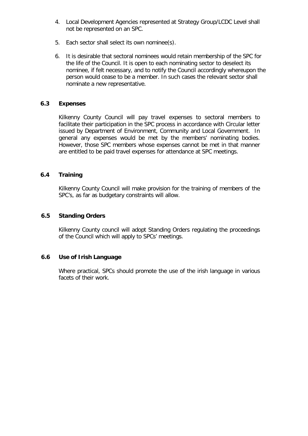- 4. Local Development Agencies represented at Strategy Group/LCDC Level shall not be represented on an SPC.
- 5. Each sector shall select its own nominee(s).
- 6. It is desirable that sectoral nominees would retain membership of the SPC for the life of the Council. It is open to each nominating sector to deselect its nominee, if felt necessary, and to notify the Council accordingly whereupon the person would cease to be a member. In such cases the relevant sector shall nominate a new representative.

#### **6.3 Expenses**

Kilkenny County Council will pay travel expenses to sectoral members to facilitate their participation in the SPC process in accordance with Circular letter issued by Department of Environment, Community and Local Government. In general any expenses would be met by the members' nominating bodies. However, those SPC members whose expenses cannot be met in that manner are entitled to be paid travel expenses for attendance at SPC meetings.

## **6.4 Training**

Kilkenny County Council will make provision for the training of members of the SPC's, as far as budgetary constraints will allow.

#### **6.5 Standing Orders**

Kilkenny County council will adopt Standing Orders regulating the proceedings of the Council which will apply to SPCs' meetings.

#### **6.6 Use of Irish Language**

Where practical, SPCs should promote the use of the irish language in various facets of their work.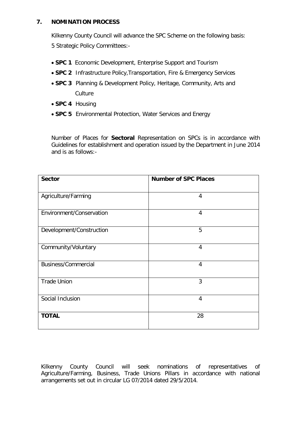#### **7. NOMINATION PROCESS**

Kilkenny County Council will advance the SPC Scheme on the following basis: 5 Strategic Policy Committees:-

- **SPC 1** Economic Development, Enterprise Support and Tourism
- **SPC 2** Infrastructure Policy,Transportation, Fire & Emergency Services
- **SPC 3** Planning & Development Policy, Heritage, Community, Arts and Culture
- **SPC 4** Housing
- **SPC 5** Environmental Protection, Water Services and Energy

Number of Places for **Sectoral** Representation on SPCs is in accordance with Guidelines for establishment and operation issued by the Department in June 2014 and is as follows:-

| <b>Sector</b>              | <b>Number of SPC Places</b> |  |  |
|----------------------------|-----------------------------|--|--|
|                            |                             |  |  |
| Agriculture/Farming        | $\overline{4}$              |  |  |
| Environment/Conservation   | $\overline{4}$              |  |  |
| Development/Construction   | 5                           |  |  |
| Community/Voluntary        | $\overline{4}$              |  |  |
| <b>Business/Commercial</b> | $\overline{4}$              |  |  |
| <b>Trade Union</b>         | 3                           |  |  |
| Social Inclusion           | $\overline{4}$              |  |  |
| <b>TOTAL</b>               | 28                          |  |  |

Kilkenny County Council will seek nominations of representatives of Agriculture/Farming, Business, Trade Unions Pillars in accordance with national arrangements set out in circular LG 07/2014 dated 29/5/2014.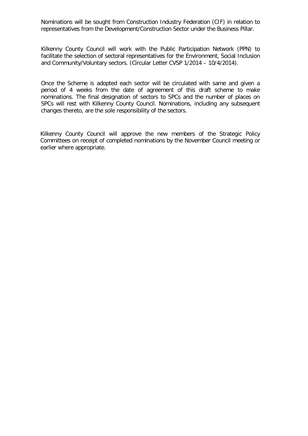Nominations will be sought from Construction Industry Federation (CIF) in relation to representatives from the Development/Construction Sector under the Business Pillar.

Kilkenny County Council will work with the Public Participation Network (PPN) to facilitate the selection of sectoral representatives for the Environment, Social Inclusion and Community/Voluntary sectors. (Circular Letter CVSP 1/2014 – 10/4/2014).

Once the Scheme is adopted each sector will be circulated with same and given a period of 4 weeks from the date of agreement of this draft scheme to make nominations. The final designation of sectors to SPCs and the number of places on SPCs will rest with Kilkenny County Council. Nominations, including any subsequent changes thereto, are the sole responsibility of the sectors.

Kilkenny County Council will approve the new members of the Strategic Policy Committees on receipt of completed nominations by the November Council meeting or earlier where appropriate.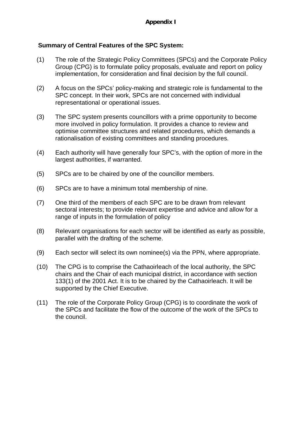## **Summary of Central Features of the SPC System:**

- (1) The role of the Strategic Policy Committees (SPCs) and the Corporate Policy Group (CPG) is to formulate policy proposals, evaluate and report on policy implementation, for consideration and final decision by the full council.
- (2) A focus on the SPCs' policy-making and strategic role is fundamental to the SPC concept. In their work, SPCs are not concerned with individual representational or operational issues.
- (3) The SPC system presents councillors with a prime opportunity to become more involved in policy formulation. It provides a chance to review and optimise committee structures and related procedures, which demands a rationalisation of existing committees and standing procedures.
- (4) Each authority will have generally four SPC's, with the option of more in the largest authorities, if warranted.
- (5) SPCs are to be chaired by one of the councillor members.
- (6) SPCs are to have a minimum total membership of nine.
- (7) One third of the members of each SPC are to be drawn from relevant sectoral interests; to provide relevant expertise and advice and allow for a range of inputs in the formulation of policy
- (8) Relevant organisations for each sector will be identified as early as possible, parallel with the drafting of the scheme.
- (9) Each sector will select its own nominee(s) via the PPN, where appropriate.
- (10) The CPG is to comprise the Cathaoirleach of the local authority, the SPC chairs and the Chair of each municipal district, in accordance with section 133(1) of the 2001 Act. It is to be chaired by the Cathaoirleach. It will be supported by the Chief Executive.
- (11) The role of the Corporate Policy Group (CPG) is to coordinate the work of the SPCs and facilitate the flow of the outcome of the work of the SPCs to the council.